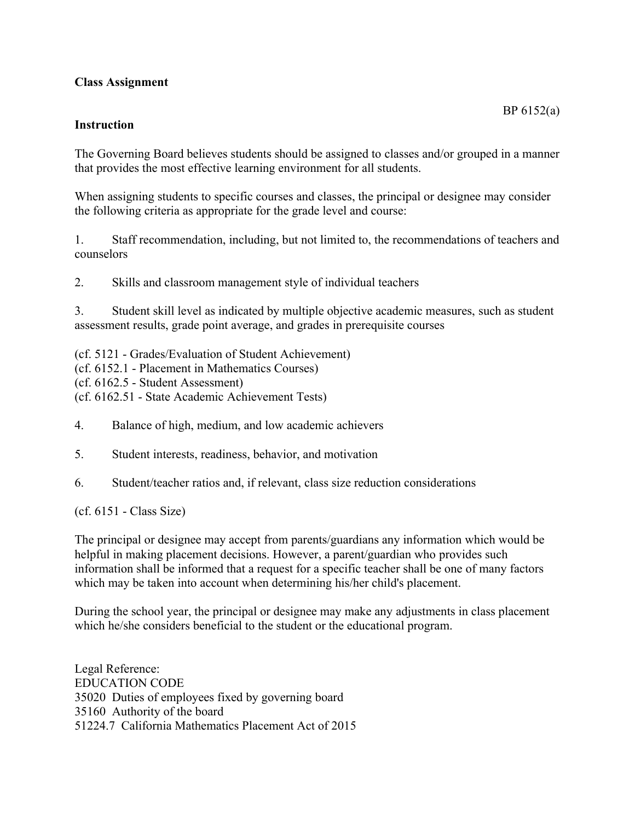## **Class Assignment**

## **Instruction**

The Governing Board believes students should be assigned to classes and/or grouped in a manner that provides the most effective learning environment for all students.

When assigning students to specific courses and classes, the principal or designee may consider the following criteria as appropriate for the grade level and course:

1. Staff recommendation, including, but not limited to, the recommendations of teachers and counselors

2. Skills and classroom management style of individual teachers

3. Student skill level as indicated by multiple objective academic measures, such as student assessment results, grade point average, and grades in prerequisite courses

(cf. 5121 - Grades/Evaluation of Student Achievement) (cf. 6152.1 - Placement in Mathematics Courses) (cf. 6162.5 - Student Assessment) (cf. 6162.51 - State Academic Achievement Tests)

- 4. Balance of high, medium, and low academic achievers
- 5. Student interests, readiness, behavior, and motivation
- 6. Student/teacher ratios and, if relevant, class size reduction considerations

(cf. 6151 - Class Size)

The principal or designee may accept from parents/guardians any information which would be helpful in making placement decisions. However, a parent/guardian who provides such information shall be informed that a request for a specific teacher shall be one of many factors which may be taken into account when determining his/her child's placement.

During the school year, the principal or designee may make any adjustments in class placement which he/she considers beneficial to the student or the educational program.

Legal Reference: EDUCATION CODE 35020 Duties of employees fixed by governing board 35160 Authority of the board 51224.7 California Mathematics Placement Act of 2015